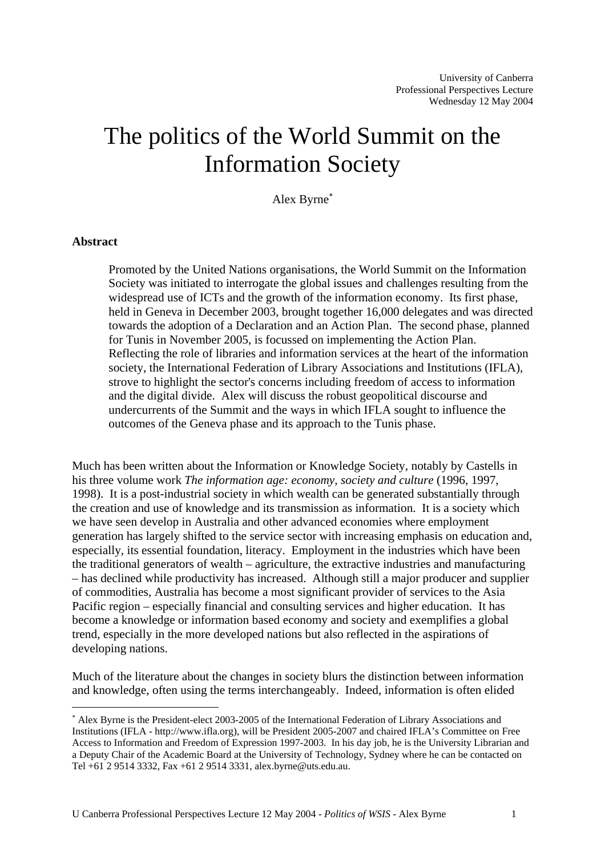# The politics of the World Summit on the Information Society

Alex Byrne[∗](#page-0-0)

### **Abstract**

 $\overline{a}$ 

Promoted by the United Nations organisations, the World Summit on the Information Society was initiated to interrogate the global issues and challenges resulting from the widespread use of ICTs and the growth of the information economy. Its first phase, held in Geneva in December 2003, brought together 16,000 delegates and was directed towards the adoption of a Declaration and an Action Plan. The second phase, planned for Tunis in November 2005, is focussed on implementing the Action Plan. Reflecting the role of libraries and information services at the heart of the information society, the International Federation of Library Associations and Institutions (IFLA), strove to highlight the sector's concerns including freedom of access to information and the digital divide. Alex will discuss the robust geopolitical discourse and undercurrents of the Summit and the ways in which IFLA sought to influence the outcomes of the Geneva phase and its approach to the Tunis phase.

Much has been written about the Information or Knowledge Society, notably by Castells in his three volume work *The information age: economy, society and culture* (1996, 1997, 1998). It is a post-industrial society in which wealth can be generated substantially through the creation and use of knowledge and its transmission as information. It is a society which we have seen develop in Australia and other advanced economies where employment generation has largely shifted to the service sector with increasing emphasis on education and, especially, its essential foundation, literacy. Employment in the industries which have been the traditional generators of wealth – agriculture, the extractive industries and manufacturing – has declined while productivity has increased. Although still a major producer and supplier of commodities, Australia has become a most significant provider of services to the Asia Pacific region – especially financial and consulting services and higher education. It has become a knowledge or information based economy and society and exemplifies a global trend, especially in the more developed nations but also reflected in the aspirations of developing nations.

Much of the literature about the changes in society blurs the distinction between information and knowledge, often using the terms interchangeably. Indeed, information is often elided

<span id="page-0-0"></span><sup>∗</sup> Alex Byrne is the President-elect 2003-2005 of the International Federation of Library Associations and Institutions (IFLA - http://www.ifla.org), will be President 2005-2007 and chaired IFLA's Committee on Free Access to Information and Freedom of Expression 1997-2003. In his day job, he is the University Librarian and a Deputy Chair of the Academic Board at the University of Technology, Sydney where he can be contacted on Tel +61 2 9514 3332, Fax +61 2 9514 3331, alex.byrne@uts.edu.au.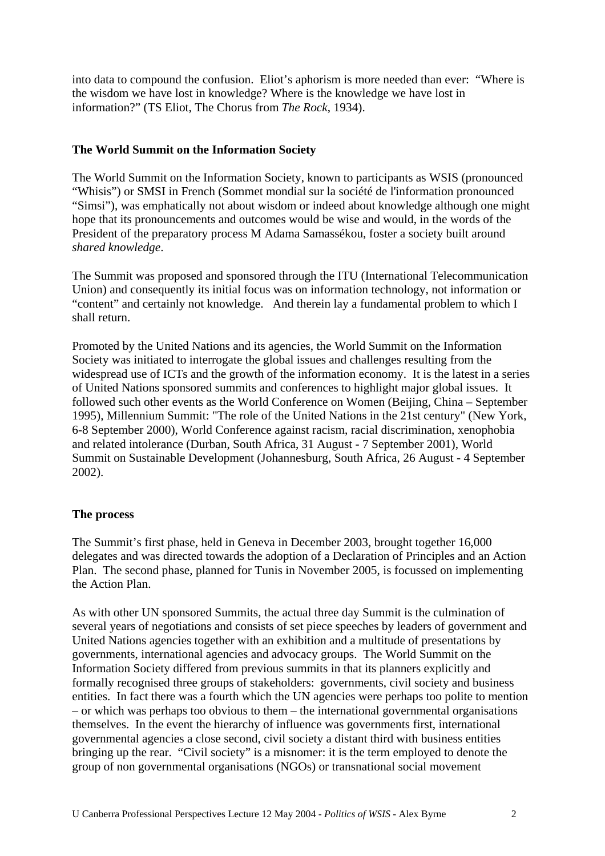into data to compound the confusion. Eliot's aphorism is more needed than ever: "Where is the wisdom we have lost in knowledge? Where is the knowledge we have lost in information?" (TS Eliot, The Chorus from *The Rock*, 1934).

## **The World Summit on the Information Society**

The World Summit on the Information Society, known to participants as WSIS (pronounced "Whisis") or SMSI in French (Sommet mondial sur la société de l'information pronounced "Simsi"), was emphatically not about wisdom or indeed about knowledge although one might hope that its pronouncements and outcomes would be wise and would, in the words of the President of the preparatory process M Adama Samassékou, foster a society built around *shared knowledge*.

The Summit was proposed and sponsored through the ITU (International Telecommunication Union) and consequently its initial focus was on information technology, not information or "content" and certainly not knowledge. And therein lay a fundamental problem to which I shall return.

Promoted by the United Nations and its agencies, the World Summit on the Information Society was initiated to interrogate the global issues and challenges resulting from the widespread use of ICTs and the growth of the information economy. It is the latest in a series of United Nations sponsored summits and conferences to highlight major global issues. It followed such other events as the World Conference on Women (Beijing, China – September 1995), Millennium Summit: "The role of the United Nations in the 21st century" (New York, 6-8 September 2000), World Conference against racism, racial discrimination, xenophobia and related intolerance (Durban, South Africa, 31 August - 7 September 2001), World Summit on Sustainable Development (Johannesburg, South Africa, 26 August - 4 September 2002).

### **The process**

The Summit's first phase, held in Geneva in December 2003, brought together 16,000 delegates and was directed towards the adoption of a Declaration of Principles and an Action Plan. The second phase, planned for Tunis in November 2005, is focussed on implementing the Action Plan.

As with other UN sponsored Summits, the actual three day Summit is the culmination of several years of negotiations and consists of set piece speeches by leaders of government and United Nations agencies together with an exhibition and a multitude of presentations by governments, international agencies and advocacy groups. The World Summit on the Information Society differed from previous summits in that its planners explicitly and formally recognised three groups of stakeholders: governments, civil society and business entities. In fact there was a fourth which the UN agencies were perhaps too polite to mention – or which was perhaps too obvious to them – the international governmental organisations themselves. In the event the hierarchy of influence was governments first, international governmental agencies a close second, civil society a distant third with business entities bringing up the rear. "Civil society" is a misnomer: it is the term employed to denote the group of non governmental organisations (NGOs) or transnational social movement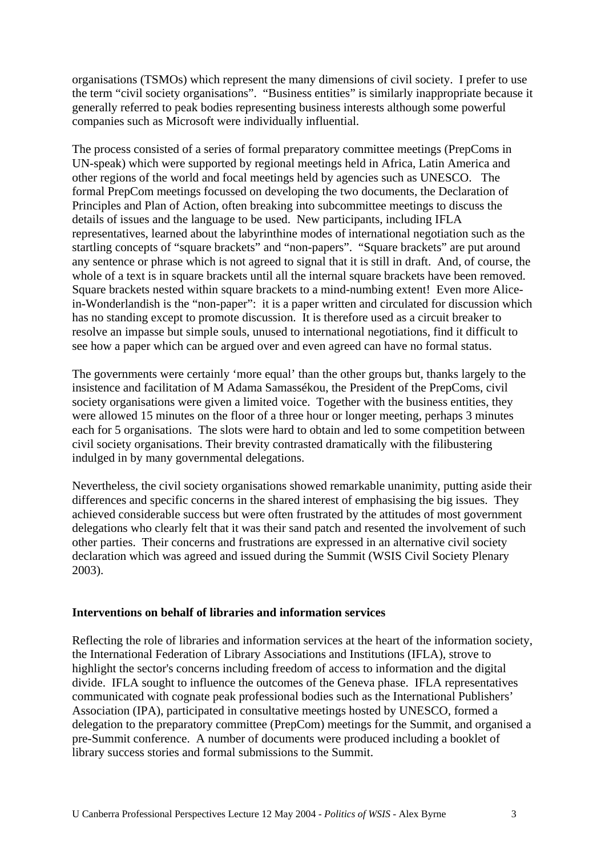organisations (TSMOs) which represent the many dimensions of civil society. I prefer to use the term "civil society organisations". "Business entities" is similarly inappropriate because it generally referred to peak bodies representing business interests although some powerful companies such as Microsoft were individually influential.

The process consisted of a series of formal preparatory committee meetings (PrepComs in UN-speak) which were supported by regional meetings held in Africa, Latin America and other regions of the world and focal meetings held by agencies such as UNESCO. The formal PrepCom meetings focussed on developing the two documents, the Declaration of Principles and Plan of Action, often breaking into subcommittee meetings to discuss the details of issues and the language to be used. New participants, including IFLA representatives, learned about the labyrinthine modes of international negotiation such as the startling concepts of "square brackets" and "non-papers". "Square brackets" are put around any sentence or phrase which is not agreed to signal that it is still in draft. And, of course, the whole of a text is in square brackets until all the internal square brackets have been removed. Square brackets nested within square brackets to a mind-numbing extent! Even more Alicein-Wonderlandish is the "non-paper": it is a paper written and circulated for discussion which has no standing except to promote discussion. It is therefore used as a circuit breaker to resolve an impasse but simple souls, unused to international negotiations, find it difficult to see how a paper which can be argued over and even agreed can have no formal status.

The governments were certainly 'more equal' than the other groups but, thanks largely to the insistence and facilitation of M Adama Samassékou, the President of the PrepComs, civil society organisations were given a limited voice. Together with the business entities, they were allowed 15 minutes on the floor of a three hour or longer meeting, perhaps 3 minutes each for 5 organisations. The slots were hard to obtain and led to some competition between civil society organisations. Their brevity contrasted dramatically with the filibustering indulged in by many governmental delegations.

Nevertheless, the civil society organisations showed remarkable unanimity, putting aside their differences and specific concerns in the shared interest of emphasising the big issues. They achieved considerable success but were often frustrated by the attitudes of most government delegations who clearly felt that it was their sand patch and resented the involvement of such other parties. Their concerns and frustrations are expressed in an alternative civil society declaration which was agreed and issued during the Summit (WSIS Civil Society Plenary 2003).

### **Interventions on behalf of libraries and information services**

Reflecting the role of libraries and information services at the heart of the information society, the International Federation of Library Associations and Institutions (IFLA), strove to highlight the sector's concerns including freedom of access to information and the digital divide. IFLA sought to influence the outcomes of the Geneva phase. IFLA representatives communicated with cognate peak professional bodies such as the International Publishers' Association (IPA), participated in consultative meetings hosted by UNESCO, formed a delegation to the preparatory committee (PrepCom) meetings for the Summit, and organised a pre-Summit conference. A number of documents were produced including a booklet of library success stories and formal submissions to the Summit.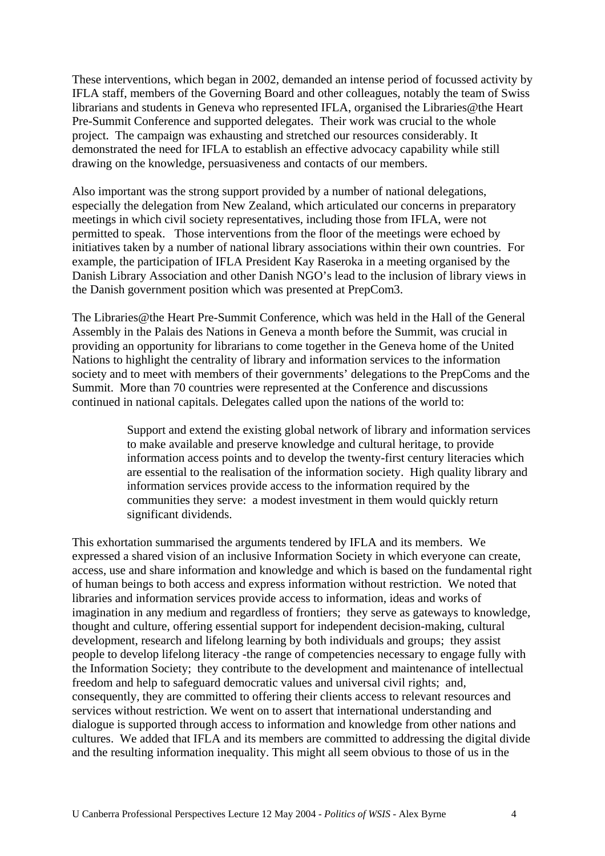These interventions, which began in 2002, demanded an intense period of focussed activity by IFLA staff, members of the Governing Board and other colleagues, notably the team of Swiss librarians and students in Geneva who represented IFLA, organised the Libraries@the Heart Pre-Summit Conference and supported delegates. Their work was crucial to the whole project. The campaign was exhausting and stretched our resources considerably. It demonstrated the need for IFLA to establish an effective advocacy capability while still drawing on the knowledge, persuasiveness and contacts of our members.

Also important was the strong support provided by a number of national delegations, especially the delegation from New Zealand, which articulated our concerns in preparatory meetings in which civil society representatives, including those from IFLA, were not permitted to speak. Those interventions from the floor of the meetings were echoed by initiatives taken by a number of national library associations within their own countries. For example, the participation of IFLA President Kay Raseroka in a meeting organised by the Danish Library Association and other Danish NGO's lead to the inclusion of library views in the Danish government position which was presented at PrepCom3.

The Libraries@the Heart Pre-Summit Conference, which was held in the Hall of the General Assembly in the Palais des Nations in Geneva a month before the Summit, was crucial in providing an opportunity for librarians to come together in the Geneva home of the United Nations to highlight the centrality of library and information services to the information society and to meet with members of their governments' delegations to the PrepComs and the Summit. More than 70 countries were represented at the Conference and discussions continued in national capitals. Delegates called upon the nations of the world to:

> Support and extend the existing global network of library and information services to make available and preserve knowledge and cultural heritage, to provide information access points and to develop the twenty-first century literacies which are essential to the realisation of the information society. High quality library and information services provide access to the information required by the communities they serve: a modest investment in them would quickly return significant dividends.

This exhortation summarised the arguments tendered by IFLA and its members. We expressed a shared vision of an inclusive Information Society in which everyone can create, access, use and share information and knowledge and which is based on the fundamental right of human beings to both access and express information without restriction. We noted that libraries and information services provide access to information, ideas and works of imagination in any medium and regardless of frontiers; they serve as gateways to knowledge, thought and culture, offering essential support for independent decision-making, cultural development, research and lifelong learning by both individuals and groups; they assist people to develop lifelong literacy -the range of competencies necessary to engage fully with the Information Society; they contribute to the development and maintenance of intellectual freedom and help to safeguard democratic values and universal civil rights; and, consequently, they are committed to offering their clients access to relevant resources and services without restriction. We went on to assert that international understanding and dialogue is supported through access to information and knowledge from other nations and cultures. We added that IFLA and its members are committed to addressing the digital divide and the resulting information inequality. This might all seem obvious to those of us in the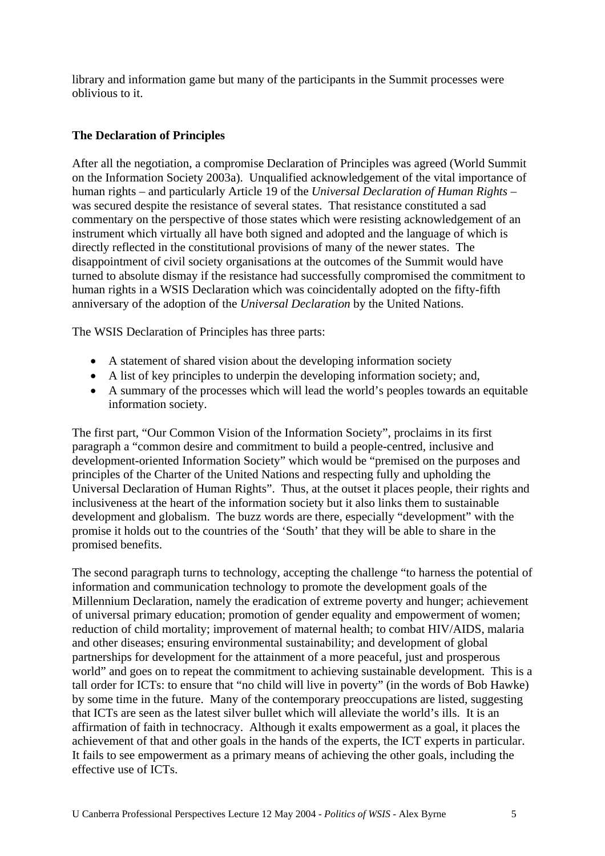library and information game but many of the participants in the Summit processes were oblivious to it.

## **The Declaration of Principles**

After all the negotiation, a compromise Declaration of Principles was agreed (World Summit on the Information Society 2003a). Unqualified acknowledgement of the vital importance of human rights – and particularly Article 19 of the *Universal Declaration of Human Rights* – was secured despite the resistance of several states. That resistance constituted a sad commentary on the perspective of those states which were resisting acknowledgement of an instrument which virtually all have both signed and adopted and the language of which is directly reflected in the constitutional provisions of many of the newer states. The disappointment of civil society organisations at the outcomes of the Summit would have turned to absolute dismay if the resistance had successfully compromised the commitment to human rights in a WSIS Declaration which was coincidentally adopted on the fifty-fifth anniversary of the adoption of the *Universal Declaration* by the United Nations.

The WSIS Declaration of Principles has three parts:

- A statement of shared vision about the developing information society
- A list of key principles to underpin the developing information society; and,
- A summary of the processes which will lead the world's peoples towards an equitable information society.

The first part, "Our Common Vision of the Information Society", proclaims in its first paragraph a "common desire and commitment to build a people-centred, inclusive and development-oriented Information Society" which would be "premised on the purposes and principles of the Charter of the United Nations and respecting fully and upholding the Universal Declaration of Human Rights". Thus, at the outset it places people, their rights and inclusiveness at the heart of the information society but it also links them to sustainable development and globalism. The buzz words are there, especially "development" with the promise it holds out to the countries of the 'South' that they will be able to share in the promised benefits.

The second paragraph turns to technology, accepting the challenge "to harness the potential of information and communication technology to promote the development goals of the Millennium Declaration, namely the eradication of extreme poverty and hunger; achievement of universal primary education; promotion of gender equality and empowerment of women; reduction of child mortality; improvement of maternal health; to combat HIV/AIDS, malaria and other diseases; ensuring environmental sustainability; and development of global partnerships for development for the attainment of a more peaceful, just and prosperous world" and goes on to repeat the commitment to achieving sustainable development. This is a tall order for ICTs: to ensure that "no child will live in poverty" (in the words of Bob Hawke) by some time in the future. Many of the contemporary preoccupations are listed, suggesting that ICTs are seen as the latest silver bullet which will alleviate the world's ills. It is an affirmation of faith in technocracy. Although it exalts empowerment as a goal, it places the achievement of that and other goals in the hands of the experts, the ICT experts in particular. It fails to see empowerment as a primary means of achieving the other goals, including the effective use of ICTs.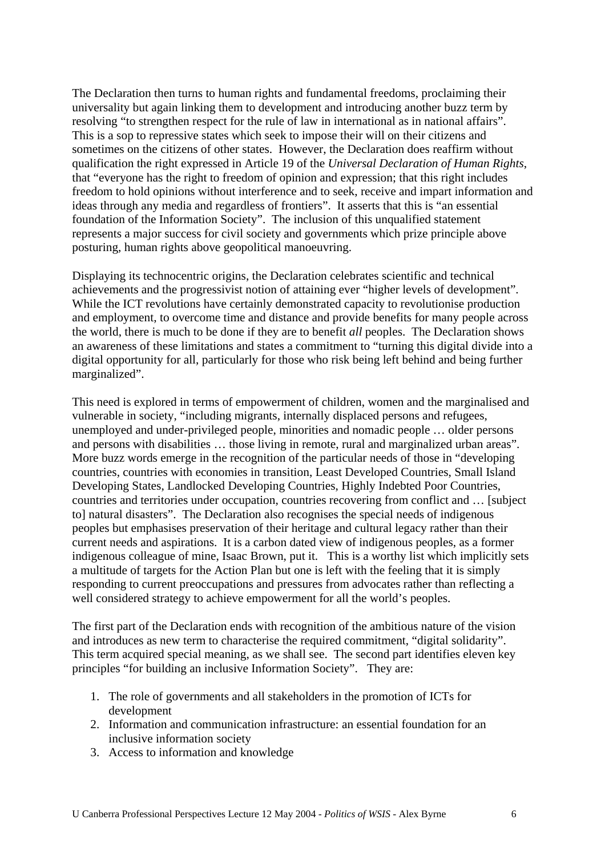The Declaration then turns to human rights and fundamental freedoms, proclaiming their universality but again linking them to development and introducing another buzz term by resolving "to strengthen respect for the rule of law in international as in national affairs". This is a sop to repressive states which seek to impose their will on their citizens and sometimes on the citizens of other states. However, the Declaration does reaffirm without qualification the right expressed in Article 19 of the *Universal Declaration of Human Rights*, that "everyone has the right to freedom of opinion and expression; that this right includes freedom to hold opinions without interference and to seek, receive and impart information and ideas through any media and regardless of frontiers". It asserts that this is "an essential foundation of the Information Society". The inclusion of this unqualified statement represents a major success for civil society and governments which prize principle above posturing, human rights above geopolitical manoeuvring.

Displaying its technocentric origins, the Declaration celebrates scientific and technical achievements and the progressivist notion of attaining ever "higher levels of development". While the ICT revolutions have certainly demonstrated capacity to revolutionise production and employment, to overcome time and distance and provide benefits for many people across the world, there is much to be done if they are to benefit *all* peoples. The Declaration shows an awareness of these limitations and states a commitment to "turning this digital divide into a digital opportunity for all, particularly for those who risk being left behind and being further marginalized".

This need is explored in terms of empowerment of children, women and the marginalised and vulnerable in society, "including migrants, internally displaced persons and refugees, unemployed and under-privileged people, minorities and nomadic people … older persons and persons with disabilities … those living in remote, rural and marginalized urban areas". More buzz words emerge in the recognition of the particular needs of those in "developing countries, countries with economies in transition, Least Developed Countries, Small Island Developing States, Landlocked Developing Countries, Highly Indebted Poor Countries, countries and territories under occupation, countries recovering from conflict and … [subject to] natural disasters". The Declaration also recognises the special needs of indigenous peoples but emphasises preservation of their heritage and cultural legacy rather than their current needs and aspirations. It is a carbon dated view of indigenous peoples, as a former indigenous colleague of mine, Isaac Brown, put it. This is a worthy list which implicitly sets a multitude of targets for the Action Plan but one is left with the feeling that it is simply responding to current preoccupations and pressures from advocates rather than reflecting a well considered strategy to achieve empowerment for all the world's peoples.

The first part of the Declaration ends with recognition of the ambitious nature of the vision and introduces as new term to characterise the required commitment, "digital solidarity". This term acquired special meaning, as we shall see. The second part identifies eleven key principles "for building an inclusive Information Society". They are:

- 1. The role of governments and all stakeholders in the promotion of ICTs for development
- 2. Information and communication infrastructure: an essential foundation for an inclusive information society
- 3. Access to information and knowledge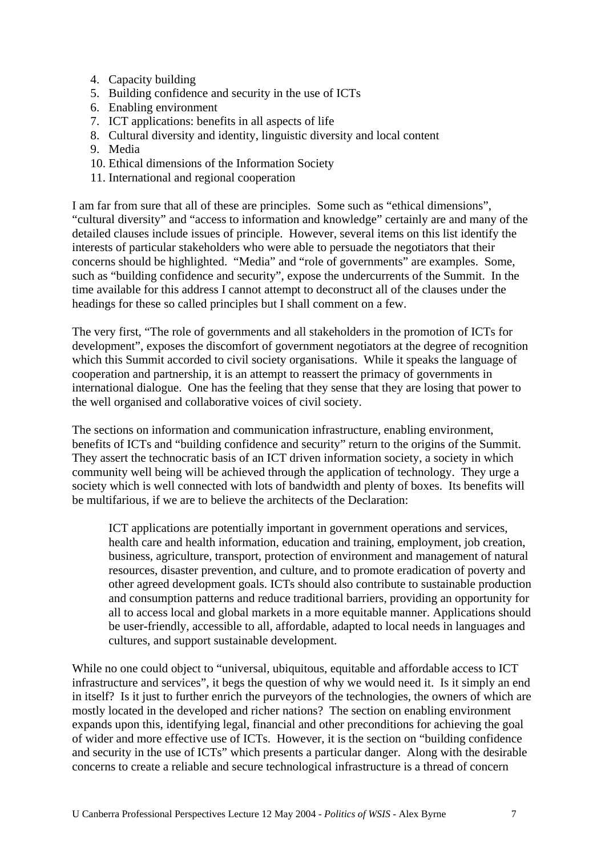- 4. Capacity building
- 5. Building confidence and security in the use of ICTs
- 6. Enabling environment
- 7. ICT applications: benefits in all aspects of life
- 8. Cultural diversity and identity, linguistic diversity and local content
- 9. Media
- 10. Ethical dimensions of the Information Society
- 11. International and regional cooperation

I am far from sure that all of these are principles. Some such as "ethical dimensions", "cultural diversity" and "access to information and knowledge" certainly are and many of the detailed clauses include issues of principle. However, several items on this list identify the interests of particular stakeholders who were able to persuade the negotiators that their concerns should be highlighted. "Media" and "role of governments" are examples. Some, such as "building confidence and security", expose the undercurrents of the Summit. In the time available for this address I cannot attempt to deconstruct all of the clauses under the headings for these so called principles but I shall comment on a few.

The very first, "The role of governments and all stakeholders in the promotion of ICTs for development", exposes the discomfort of government negotiators at the degree of recognition which this Summit accorded to civil society organisations. While it speaks the language of cooperation and partnership, it is an attempt to reassert the primacy of governments in international dialogue. One has the feeling that they sense that they are losing that power to the well organised and collaborative voices of civil society.

The sections on information and communication infrastructure, enabling environment, benefits of ICTs and "building confidence and security" return to the origins of the Summit. They assert the technocratic basis of an ICT driven information society, a society in which community well being will be achieved through the application of technology. They urge a society which is well connected with lots of bandwidth and plenty of boxes. Its benefits will be multifarious, if we are to believe the architects of the Declaration:

ICT applications are potentially important in government operations and services, health care and health information, education and training, employment, job creation, business, agriculture, transport, protection of environment and management of natural resources, disaster prevention, and culture, and to promote eradication of poverty and other agreed development goals. ICTs should also contribute to sustainable production and consumption patterns and reduce traditional barriers, providing an opportunity for all to access local and global markets in a more equitable manner. Applications should be user-friendly, accessible to all, affordable, adapted to local needs in languages and cultures, and support sustainable development.

While no one could object to "universal, ubiquitous, equitable and affordable access to ICT infrastructure and services", it begs the question of why we would need it. Is it simply an end in itself? Is it just to further enrich the purveyors of the technologies, the owners of which are mostly located in the developed and richer nations? The section on enabling environment expands upon this, identifying legal, financial and other preconditions for achieving the goal of wider and more effective use of ICTs. However, it is the section on "building confidence and security in the use of ICTs" which presents a particular danger. Along with the desirable concerns to create a reliable and secure technological infrastructure is a thread of concern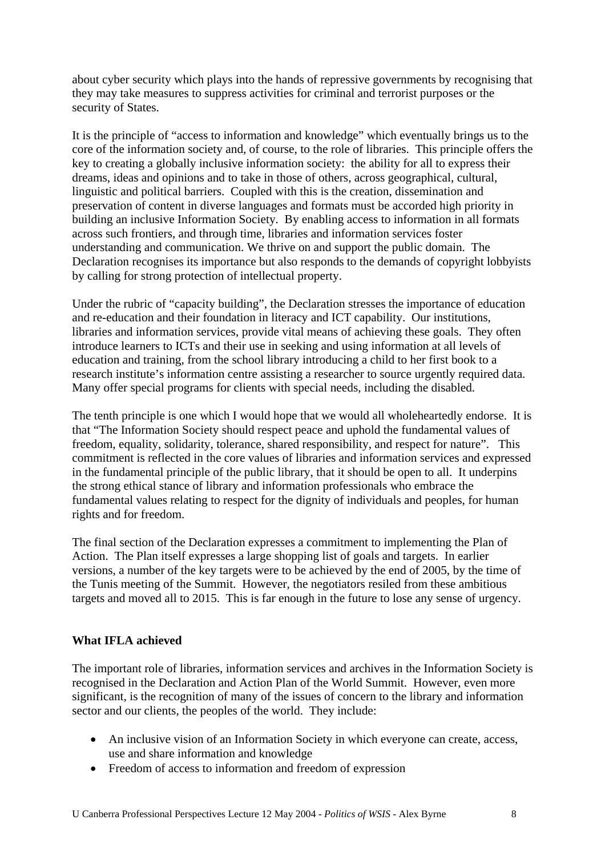about cyber security which plays into the hands of repressive governments by recognising that they may take measures to suppress activities for criminal and terrorist purposes or the security of States.

It is the principle of "access to information and knowledge" which eventually brings us to the core of the information society and, of course, to the role of libraries. This principle offers the key to creating a globally inclusive information society: the ability for all to express their dreams, ideas and opinions and to take in those of others, across geographical, cultural, linguistic and political barriers. Coupled with this is the creation, dissemination and preservation of content in diverse languages and formats must be accorded high priority in building an inclusive Information Society. By enabling access to information in all formats across such frontiers, and through time, libraries and information services foster understanding and communication. We thrive on and support the public domain. The Declaration recognises its importance but also responds to the demands of copyright lobbyists by calling for strong protection of intellectual property.

Under the rubric of "capacity building", the Declaration stresses the importance of education and re-education and their foundation in literacy and ICT capability. Our institutions, libraries and information services, provide vital means of achieving these goals. They often introduce learners to ICTs and their use in seeking and using information at all levels of education and training, from the school library introducing a child to her first book to a research institute's information centre assisting a researcher to source urgently required data. Many offer special programs for clients with special needs, including the disabled.

The tenth principle is one which I would hope that we would all wholeheartedly endorse. It is that "The Information Society should respect peace and uphold the fundamental values of freedom, equality, solidarity, tolerance, shared responsibility, and respect for nature". This commitment is reflected in the core values of libraries and information services and expressed in the fundamental principle of the public library, that it should be open to all. It underpins the strong ethical stance of library and information professionals who embrace the fundamental values relating to respect for the dignity of individuals and peoples, for human rights and for freedom.

The final section of the Declaration expresses a commitment to implementing the Plan of Action. The Plan itself expresses a large shopping list of goals and targets. In earlier versions, a number of the key targets were to be achieved by the end of 2005, by the time of the Tunis meeting of the Summit. However, the negotiators resiled from these ambitious targets and moved all to 2015. This is far enough in the future to lose any sense of urgency.

## **What IFLA achieved**

The important role of libraries, information services and archives in the Information Society is recognised in the Declaration and Action Plan of the World Summit. However, even more significant, is the recognition of many of the issues of concern to the library and information sector and our clients, the peoples of the world. They include:

- An inclusive vision of an Information Society in which everyone can create, access, use and share information and knowledge
- Freedom of access to information and freedom of expression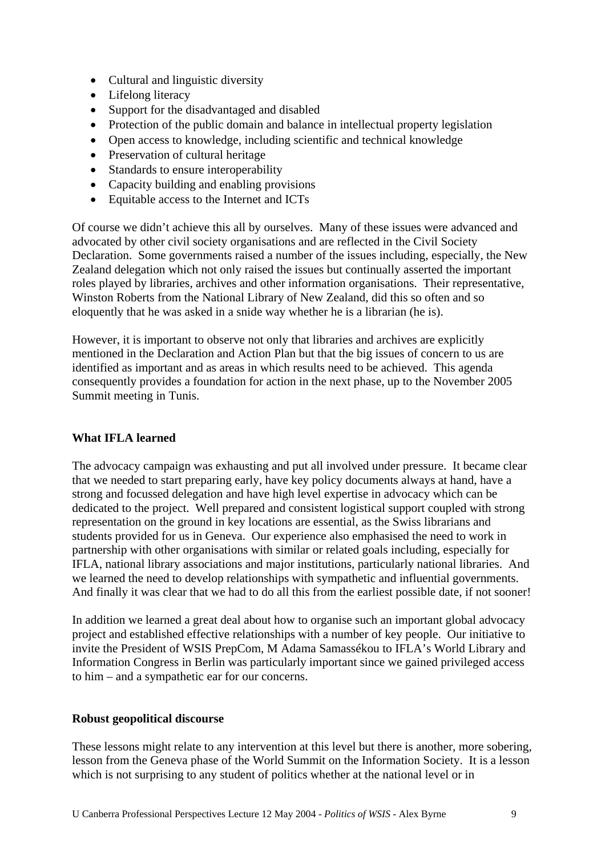- Cultural and linguistic diversity
- Lifelong literacy
- Support for the disadvantaged and disabled
- Protection of the public domain and balance in intellectual property legislation
- Open access to knowledge, including scientific and technical knowledge
- Preservation of cultural heritage
- Standards to ensure interoperability
- Capacity building and enabling provisions
- Equitable access to the Internet and ICTs

Of course we didn't achieve this all by ourselves. Many of these issues were advanced and advocated by other civil society organisations and are reflected in the Civil Society Declaration. Some governments raised a number of the issues including, especially, the New Zealand delegation which not only raised the issues but continually asserted the important roles played by libraries, archives and other information organisations. Their representative, Winston Roberts from the National Library of New Zealand, did this so often and so eloquently that he was asked in a snide way whether he is a librarian (he is).

However, it is important to observe not only that libraries and archives are explicitly mentioned in the Declaration and Action Plan but that the big issues of concern to us are identified as important and as areas in which results need to be achieved. This agenda consequently provides a foundation for action in the next phase, up to the November 2005 Summit meeting in Tunis.

## **What IFLA learned**

The advocacy campaign was exhausting and put all involved under pressure. It became clear that we needed to start preparing early, have key policy documents always at hand, have a strong and focussed delegation and have high level expertise in advocacy which can be dedicated to the project. Well prepared and consistent logistical support coupled with strong representation on the ground in key locations are essential, as the Swiss librarians and students provided for us in Geneva. Our experience also emphasised the need to work in partnership with other organisations with similar or related goals including, especially for IFLA, national library associations and major institutions, particularly national libraries. And we learned the need to develop relationships with sympathetic and influential governments. And finally it was clear that we had to do all this from the earliest possible date, if not sooner!

In addition we learned a great deal about how to organise such an important global advocacy project and established effective relationships with a number of key people. Our initiative to invite the President of WSIS PrepCom, M Adama Samassékou to IFLA's World Library and Information Congress in Berlin was particularly important since we gained privileged access to him – and a sympathetic ear for our concerns.

### **Robust geopolitical discourse**

These lessons might relate to any intervention at this level but there is another, more sobering, lesson from the Geneva phase of the World Summit on the Information Society. It is a lesson which is not surprising to any student of politics whether at the national level or in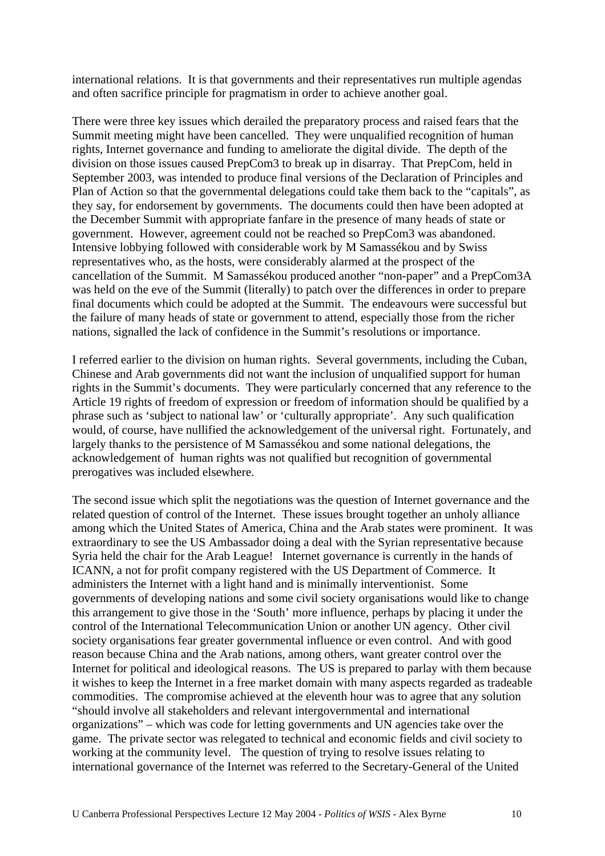international relations. It is that governments and their representatives run multiple agendas and often sacrifice principle for pragmatism in order to achieve another goal.

There were three key issues which derailed the preparatory process and raised fears that the Summit meeting might have been cancelled. They were unqualified recognition of human rights, Internet governance and funding to ameliorate the digital divide. The depth of the division on those issues caused PrepCom3 to break up in disarray. That PrepCom, held in September 2003, was intended to produce final versions of the Declaration of Principles and Plan of Action so that the governmental delegations could take them back to the "capitals", as they say, for endorsement by governments. The documents could then have been adopted at the December Summit with appropriate fanfare in the presence of many heads of state or government. However, agreement could not be reached so PrepCom3 was abandoned. Intensive lobbying followed with considerable work by M Samassékou and by Swiss representatives who, as the hosts, were considerably alarmed at the prospect of the cancellation of the Summit. M Samassékou produced another "non-paper" and a PrepCom3A was held on the eve of the Summit (literally) to patch over the differences in order to prepare final documents which could be adopted at the Summit. The endeavours were successful but the failure of many heads of state or government to attend, especially those from the richer nations, signalled the lack of confidence in the Summit's resolutions or importance.

I referred earlier to the division on human rights. Several governments, including the Cuban, Chinese and Arab governments did not want the inclusion of unqualified support for human rights in the Summit's documents. They were particularly concerned that any reference to the Article 19 rights of freedom of expression or freedom of information should be qualified by a phrase such as 'subject to national law' or 'culturally appropriate'. Any such qualification would, of course, have nullified the acknowledgement of the universal right. Fortunately, and largely thanks to the persistence of M Samassékou and some national delegations, the acknowledgement of human rights was not qualified but recognition of governmental prerogatives was included elsewhere.

The second issue which split the negotiations was the question of Internet governance and the related question of control of the Internet. These issues brought together an unholy alliance among which the United States of America, China and the Arab states were prominent. It was extraordinary to see the US Ambassador doing a deal with the Syrian representative because Syria held the chair for the Arab League! Internet governance is currently in the hands of ICANN, a not for profit company registered with the US Department of Commerce. It administers the Internet with a light hand and is minimally interventionist. Some governments of developing nations and some civil society organisations would like to change this arrangement to give those in the 'South' more influence, perhaps by placing it under the control of the International Telecommunication Union or another UN agency. Other civil society organisations fear greater governmental influence or even control. And with good reason because China and the Arab nations, among others, want greater control over the Internet for political and ideological reasons. The US is prepared to parlay with them because it wishes to keep the Internet in a free market domain with many aspects regarded as tradeable commodities. The compromise achieved at the eleventh hour was to agree that any solution "should involve all stakeholders and relevant intergovernmental and international organizations" – which was code for letting governments and UN agencies take over the game. The private sector was relegated to technical and economic fields and civil society to working at the community level. The question of trying to resolve issues relating to international governance of the Internet was referred to the Secretary-General of the United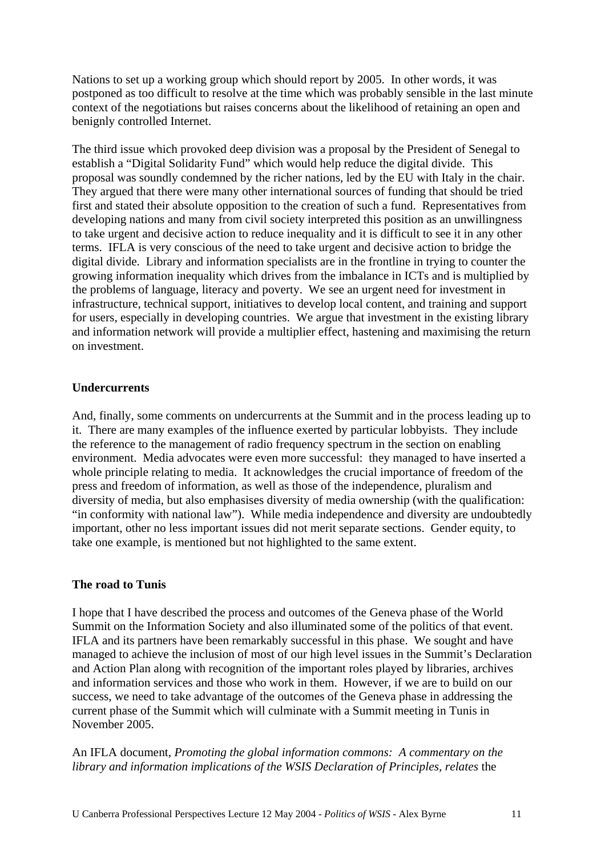Nations to set up a working group which should report by 2005. In other words, it was postponed as too difficult to resolve at the time which was probably sensible in the last minute context of the negotiations but raises concerns about the likelihood of retaining an open and benignly controlled Internet.

The third issue which provoked deep division was a proposal by the President of Senegal to establish a "Digital Solidarity Fund" which would help reduce the digital divide. This proposal was soundly condemned by the richer nations, led by the EU with Italy in the chair. They argued that there were many other international sources of funding that should be tried first and stated their absolute opposition to the creation of such a fund. Representatives from developing nations and many from civil society interpreted this position as an unwillingness to take urgent and decisive action to reduce inequality and it is difficult to see it in any other terms. IFLA is very conscious of the need to take urgent and decisive action to bridge the digital divide. Library and information specialists are in the frontline in trying to counter the growing information inequality which drives from the imbalance in ICTs and is multiplied by the problems of language, literacy and poverty. We see an urgent need for investment in infrastructure, technical support, initiatives to develop local content, and training and support for users, especially in developing countries. We argue that investment in the existing library and information network will provide a multiplier effect, hastening and maximising the return on investment.

## **Undercurrents**

And, finally, some comments on undercurrents at the Summit and in the process leading up to it. There are many examples of the influence exerted by particular lobbyists. They include the reference to the management of radio frequency spectrum in the section on enabling environment. Media advocates were even more successful: they managed to have inserted a whole principle relating to media. It acknowledges the crucial importance of freedom of the press and freedom of information, as well as those of the independence, pluralism and diversity of media, but also emphasises diversity of media ownership (with the qualification: "in conformity with national law"). While media independence and diversity are undoubtedly important, other no less important issues did not merit separate sections. Gender equity, to take one example, is mentioned but not highlighted to the same extent.

### **The road to Tunis**

I hope that I have described the process and outcomes of the Geneva phase of the World Summit on the Information Society and also illuminated some of the politics of that event. IFLA and its partners have been remarkably successful in this phase. We sought and have managed to achieve the inclusion of most of our high level issues in the Summit's Declaration and Action Plan along with recognition of the important roles played by libraries, archives and information services and those who work in them. However, if we are to build on our success, we need to take advantage of the outcomes of the Geneva phase in addressing the current phase of the Summit which will culminate with a Summit meeting in Tunis in November 2005.

An IFLA document, *Promoting the global information commons: A commentary on the library and information implications of the WSIS Declaration of Principles, relates* the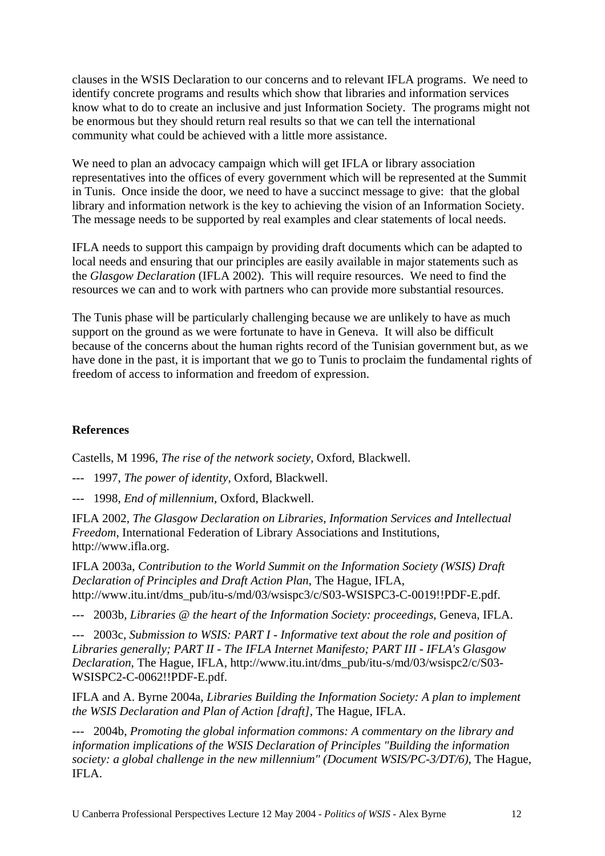clauses in the WSIS Declaration to our concerns and to relevant IFLA programs. We need to identify concrete programs and results which show that libraries and information services know what to do to create an inclusive and just Information Society. The programs might not be enormous but they should return real results so that we can tell the international community what could be achieved with a little more assistance.

We need to plan an advocacy campaign which will get IFLA or library association representatives into the offices of every government which will be represented at the Summit in Tunis. Once inside the door, we need to have a succinct message to give: that the global library and information network is the key to achieving the vision of an Information Society. The message needs to be supported by real examples and clear statements of local needs.

IFLA needs to support this campaign by providing draft documents which can be adapted to local needs and ensuring that our principles are easily available in major statements such as the *Glasgow Declaration* (IFLA 2002). This will require resources. We need to find the resources we can and to work with partners who can provide more substantial resources.

The Tunis phase will be particularly challenging because we are unlikely to have as much support on the ground as we were fortunate to have in Geneva. It will also be difficult because of the concerns about the human rights record of the Tunisian government but, as we have done in the past, it is important that we go to Tunis to proclaim the fundamental rights of freedom of access to information and freedom of expression.

# **References**

Castells, M 1996, *The rise of the network society*, Oxford, Blackwell.

- --- 1997, *The power of identity*, Oxford, Blackwell.
- --- 1998, *End of millennium*, Oxford, Blackwell.

IFLA 2002, *The Glasgow Declaration on Libraries, Information Services and Intellectual Freedom*, International Federation of Library Associations and Institutions, http://www.ifla.org.

IFLA 2003a, *Contribution to the World Summit on the Information Society (WSIS) Draft Declaration of Principles and Draft Action Plan*, The Hague, IFLA, http://www.itu.int/dms\_pub/itu-s/md/03/wsispc3/c/S03-WSISPC3-C-0019!!PDF-E.pdf.

--- 2003b, *Libraries @ the heart of the Information Society: proceedings*, Geneva, IFLA.

--- 2003c, *Submission to WSIS: PART I - Informative text about the role and position of Libraries generally; PART II - The IFLA Internet Manifesto; PART III - IFLA's Glasgow Declaration*, The Hague, IFLA, http://www.itu.int/dms\_pub/itu-s/md/03/wsispc2/c/S03- WSISPC2-C-0062!!PDF-E.pdf.

IFLA and A. Byrne 2004a, *Libraries Building the Information Society: A plan to implement the WSIS Declaration and Plan of Action [draft]*, The Hague, IFLA.

--- 2004b, *Promoting the global information commons: A commentary on the library and information implications of the WSIS Declaration of Principles "Building the information society: a global challenge in the new millennium" (Document WSIS/PC-3/DT/6)*, The Hague, IFLA.